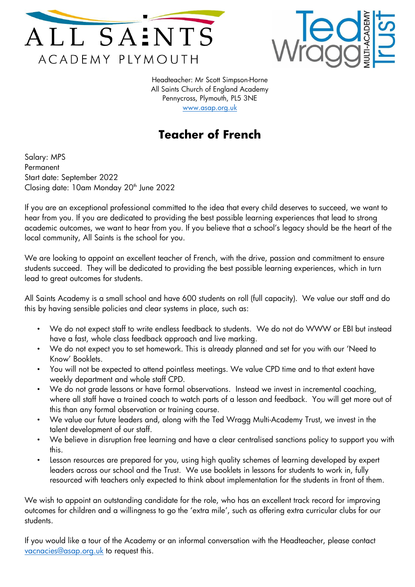



Headteacher: Mr Scott Simpson-Horne All Saints Church of England Academy Pennycross, Plymouth, PL5 3NE [www.asap.org.uk](http://www.asap.org.uk/)

## **Teacher of French**

Salary: MPS Permanent Start date: September 2022 Closing date: 10am Monday 20<sup>th</sup> June 2022

If you are an exceptional professional committed to the idea that every child deserves to succeed, we want to hear from you. If you are dedicated to providing the best possible learning experiences that lead to strong academic outcomes, we want to hear from you. If you believe that a school's legacy should be the heart of the local community, All Saints is the school for you.

We are looking to appoint an excellent teacher of French, with the drive, passion and commitment to ensure students succeed. They will be dedicated to providing the best possible learning experiences, which in turn lead to great outcomes for students.

All Saints Academy is a small school and have 600 students on roll (full capacity). We value our staff and do this by having sensible policies and clear systems in place, such as:

- We do not expect staff to write endless feedback to students. We do not do WWW or EBI but instead have a fast, whole class feedback approach and live marking.
- We do not expect you to set homework. This is already planned and set for you with our 'Need to Know' Booklets.
- You will not be expected to attend pointless meetings. We value CPD time and to that extent have weekly department and whole staff CPD.
- We do not grade lessons or have formal observations. Instead we invest in incremental coaching, where all staff have a trained coach to watch parts of a lesson and feedback. You will get more out of this than any formal observation or training course.
- We value our future leaders and, along with the Ted Wragg Multi-Academy Trust, we invest in the talent development of our staff.
- We believe in disruption free learning and have a clear centralised sanctions policy to support you with this.
- Lesson resources are prepared for you, using high quality schemes of learning developed by expert leaders across our school and the Trust. We use booklets in lessons for students to work in, fully resourced with teachers only expected to think about implementation for the students in front of them.

We wish to appoint an outstanding candidate for the role, who has an excellent track record for improving outcomes for children and a willingness to go the 'extra mile', such as offering extra curricular clubs for our students.

If you would like a tour of the Academy or an informal conversation with the Headteacher, please contact [vacnacies@asap.org.uk](mailto:vacnacies@asap.org.uk) to request this.